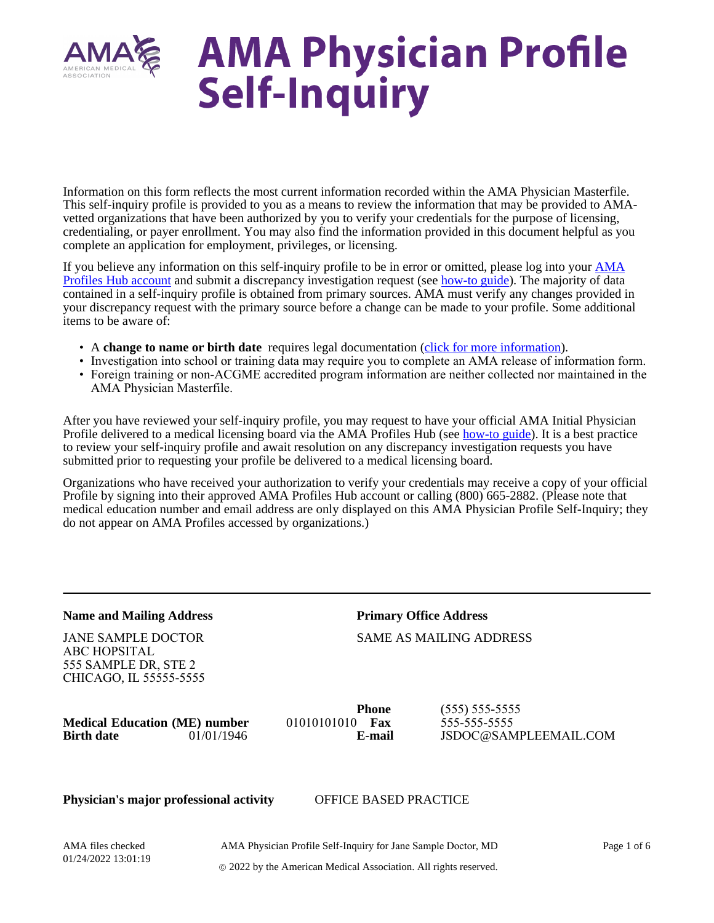

# **AMA Physician Profile<br>Self-Inquiry**

Information on this form reflects the most current information recorded within the AMA Physician Masterfile. This self-inquiry profile is provided to you as a means to review the information that may be provided to AMAvetted organizations that have been authorized by you to verify your credentials for the purpose of licensing, credentialing, or payer enrollment. You may also find the information provided in this document helpful as you complete an application for employment, privileges, or licensing.

If you believe any information on this self-inquiry profile to be in error or omitted, please log into your [AMA](http://www.amaprofileshub.org/) [Profiles Hub account](http://www.amaprofileshub.org/) and submit a discrepancy investigation request (see [how-to guide\)](http://amacredentialingservices.org/sites/default/files/2021-03/Step-by-Step_HowToReportDiscrepanciesOnSelfInquiryProfile_forPhysicians%20%281%29.pdf). The majority of data contained in a self-inquiry profile is obtained from primary sources. AMA must verify any changes provided in your discrepancy request with the primary source before a change can be made to your profile. Some additional items to be aware of:

- A **change to name or birth date** requires legal documentation [\(click for more information](https://commerce.ama-assn.org/amaprofiles/account/Hub_NameChangeDocumentationFAQs.pdf)).
- Investigation into school or training data may require you to complete an AMA release of information form.
- Foreign training or non-ACGME accredited program information are neither collected nor maintained in the AMA Physician Masterfile.

After you have reviewed your self-inquiry profile, you may request to have your official AMA Initial Physician Profile delivered to a medical licensing board via the AMA Profiles Hub (see [how-to guide](http://amacredentialingservices.org/sites/default/files/2021-11/QuickGuide_RequestProfileSendToLicenseBoard_Physicians.pdf)). It is a best practice to review your self-inquiry profile and await resolution on any discrepancy investigation requests you have submitted prior to requesting your profile be delivered to a medical licensing board.

Organizations who have received your authorization to verify your credentials may receive a copy of your official Profile by signing into their approved AMA Profiles Hub account or calling (800) 665-2882. (Please note that medical education number and email address are only displayed on this AMA Physician Profile Self-Inquiry; they do not appear on AMA Profiles accessed by organizations.)

#### **Name and Mailing Address**

JANE SAMPLE DOCTOR ABC HOPSITAL 555 SAMPLE DR, STE 2 CHICAGO, IL 55555-5555 **Primary Office Address**

### SAME AS MAILING ADDRESS

**Medical Education (ME) number** 01010101010 **Fax Birth date** 01/01/1946 **E-mail**

**Phone**

(555) 555-5555 555-555-5555 JSDOC@SAMPLEEMAIL.COM

#### **Physician's major professional activity** OFFICE BASED PRACTICE

AMA files checked 01/24/2022 13:01:19

#### AMA Physician Profile Self-Inquiry for Jane Sample Doctor, MD

Page 1 of 6

2022 by the American Medical Association. All rights reserved.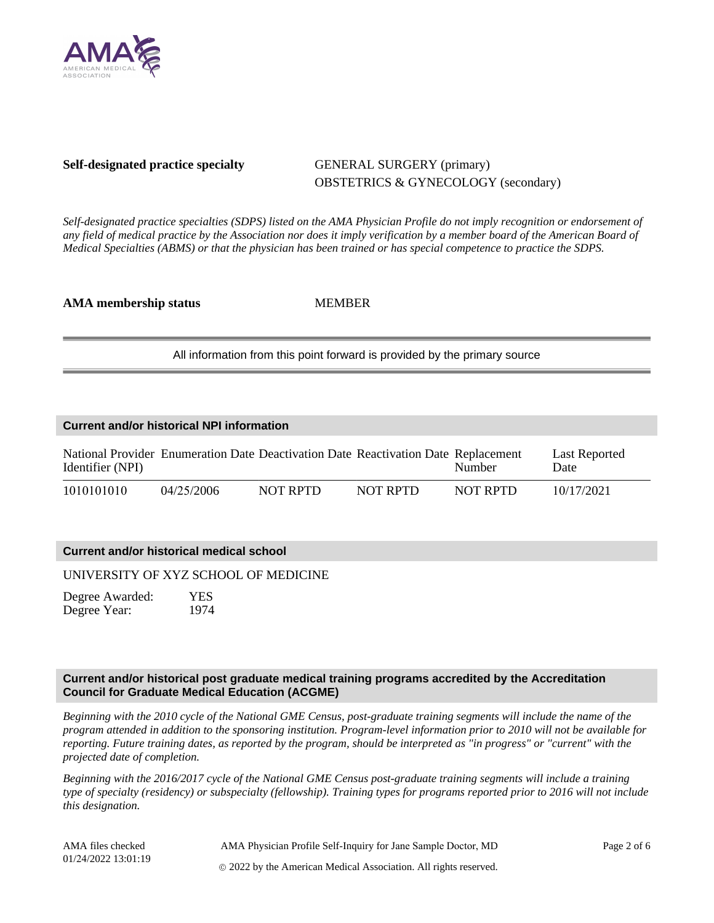

#### **Self-designated practice specialty GENERAL SURGERY (primary)**

## OBSTETRICS & GYNECOLOGY (secondary)

*Self-designated practice specialties (SDPS) listed on the AMA Physician Profile do not imply recognition or endorsement of any field of medical practice by the Association nor does it imply verification by a member board of the American Board of Medical Specialties (ABMS) or that the physician has been trained or has special competence to practice the SDPS.*

**AMA membership status** MEMBER

All information from this point forward is provided by the primary source

| <b>Current and/or historical NPI information</b> |            |          |                                                                                    |          |                              |  |  |  |  |
|--------------------------------------------------|------------|----------|------------------------------------------------------------------------------------|----------|------------------------------|--|--|--|--|
| Identifier (NPI)                                 |            |          | National Provider Enumeration Date Deactivation Date Reactivation Date Replacement | Number   | <b>Last Reported</b><br>Date |  |  |  |  |
| 1010101010                                       | 04/25/2006 | NOT RPTD | NOT RPTD                                                                           | NOT RPTD | 10/17/2021                   |  |  |  |  |

#### **Current and/or historical medical school**

UNIVERSITY OF XYZ SCHOOL OF MEDICINE

Degree Awarded: YES Degree Year: 1974

#### **Current and/or historical post graduate medical training programs accredited by the Accreditation Council for Graduate Medical Education (ACGME)**

*Beginning with the 2010 cycle of the National GME Census, post-graduate training segments will include the name of the program attended in addition to the sponsoring institution. Program-level information prior to 2010 will not be available for reporting. Future training dates, as reported by the program, should be interpreted as "in progress" or "current" with the projected date of completion.*

*Beginning with the 2016/2017 cycle of the National GME Census post-graduate training segments will include a training type of specialty (residency) or subspecialty (fellowship). Training types for programs reported prior to 2016 will not include this designation.*

AMA files checked 01/24/2022 13:01:19

AMA Physician Profile Self-Inquiry for Jane Sample Doctor, MD 2022 by the American Medical Association. All rights reserved.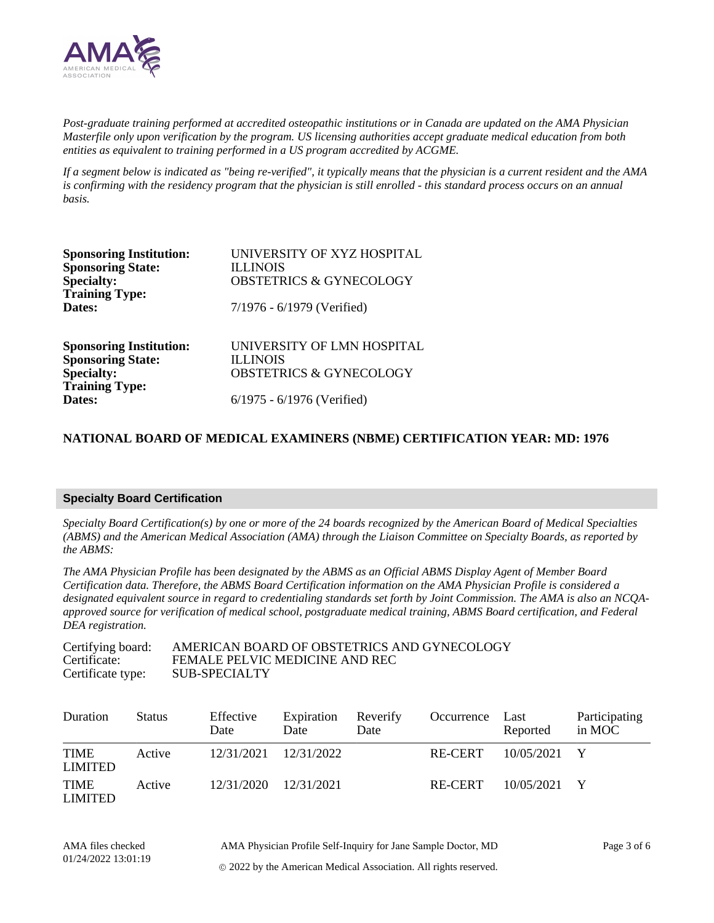

*Post-graduate training performed at accredited osteopathic institutions or in Canada are updated on the AMA Physician Masterfile only upon verification by the program. US licensing authorities accept graduate medical education from both entities as equivalent to training performed in a US program accredited by ACGME.*

*If a segment below is indicated as "being re-verified", it typically means that the physician is a current resident and the AMA is confirming with the residency program that the physician is still enrolled - this standard process occurs on an annual basis.*

| <b>Sponsoring Institution:</b><br><b>Sponsoring State:</b><br><b>Specialty:</b><br><b>Training Type:</b> | UNIVERSITY OF XYZ HOSPITAL<br><b>ILLINOIS</b><br><b>OBSTETRICS &amp; GYNECOLOGY</b> |
|----------------------------------------------------------------------------------------------------------|-------------------------------------------------------------------------------------|
| Dates:                                                                                                   | 7/1976 - 6/1979 (Verified)                                                          |
| <b>Sponsoring Institution:</b><br><b>Sponsoring State:</b><br><b>Specialty:</b>                          | UNIVERSITY OF LMN HOSPITAL<br><b>ILLINOIS</b><br><b>OBSTETRICS &amp; GYNECOLOGY</b> |
| <b>Training Type:</b><br>Dates:                                                                          | $6/1975 - 6/1976$ (Verified)                                                        |

#### **NATIONAL BOARD OF MEDICAL EXAMINERS (NBME) CERTIFICATION YEAR: MD: 1976**

#### **Specialty Board Certification**

*Specialty Board Certification(s) by one or more of the 24 boards recognized by the American Board of Medical Specialties (ABMS) and the American Medical Association (AMA) through the Liaison Committee on Specialty Boards, as reported by the ABMS:*

*The AMA Physician Profile has been designated by the ABMS as an Official ABMS Display Agent of Member Board Certification data. Therefore, the ABMS Board Certification information on the AMA Physician Profile is considered a designated equivalent source in regard to credentialing standards set forth by Joint Commission. The AMA is also an NCQAapproved source for verification of medical school, postgraduate medical training, ABMS Board certification, and Federal DEA registration.*

| Certifying board: | AMERICAN BOARD OF OBSTETRICS AND GYNECOLOGY |
|-------------------|---------------------------------------------|
| Certificate:      | FEMALE PELVIC MEDICINE AND REC              |
| Certificate type: | SUB-SPECIALTY                               |

| Duration                      | <b>Status</b> | Effective<br>Date | Expiration<br>Date | Reverify<br>Date | Occurrence | Last<br>Reported | Participating<br>in MOC |
|-------------------------------|---------------|-------------------|--------------------|------------------|------------|------------------|-------------------------|
| <b>TIME</b><br><b>LIMITED</b> | Active        | 12/31/2021        | 12/31/2022         |                  | RE-CERT    | 10/05/2021       | $\mathbf{Y}$            |
| <b>TIME</b><br>LIMITED        | Active        | 12/31/2020        | 12/31/2021         |                  | RE-CERT    | 10/05/2021       |                         |

2022 by the American Medical Association. All rights reserved.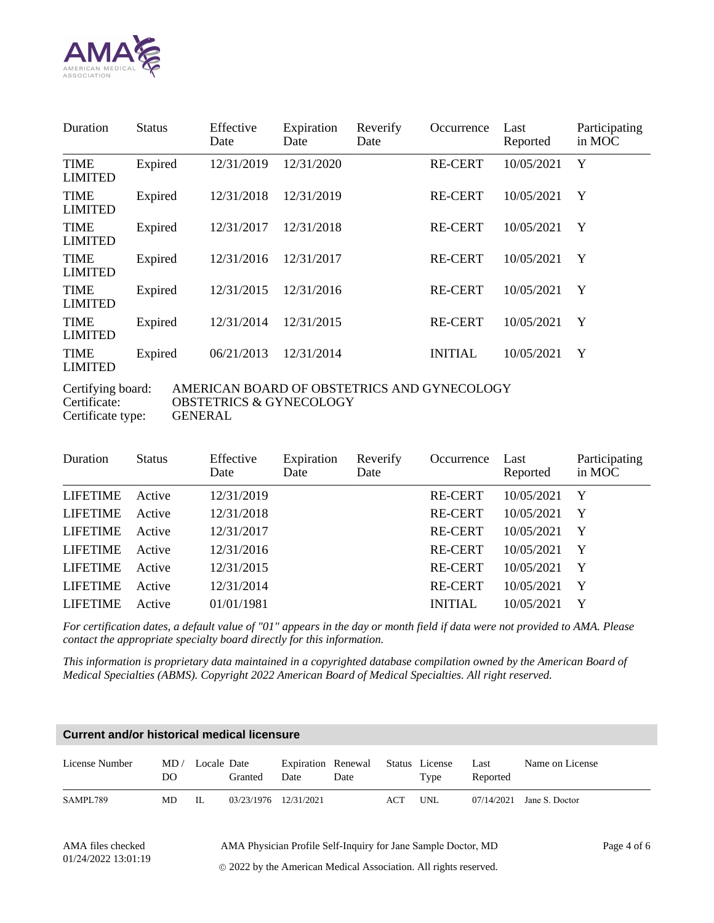

| Duration                                                         | <b>Status</b> | Effective<br>Date | Expiration<br>Date | Reverify<br>Date | Occurrence     | Last<br>Reported | Participating<br>in MOC |  |
|------------------------------------------------------------------|---------------|-------------------|--------------------|------------------|----------------|------------------|-------------------------|--|
| <b>TIME</b><br><b>LIMITED</b>                                    | Expired       | 12/31/2019        | 12/31/2020         |                  | RE-CERT        | 10/05/2021       | Y                       |  |
| <b>TIME</b><br><b>LIMITED</b>                                    | Expired       | 12/31/2018        | 12/31/2019         |                  | <b>RE-CERT</b> | 10/05/2021       | Y                       |  |
| <b>TIME</b><br><b>LIMITED</b>                                    | Expired       | 12/31/2017        | 12/31/2018         |                  | <b>RE-CERT</b> | 10/05/2021       | Y                       |  |
| <b>TIME</b><br><b>LIMITED</b>                                    | Expired       | 12/31/2016        | 12/31/2017         |                  | <b>RE-CERT</b> | 10/05/2021       | Y                       |  |
| <b>TIME</b><br><b>LIMITED</b>                                    | Expired       | 12/31/2015        | 12/31/2016         |                  | <b>RE-CERT</b> | 10/05/2021       | Y                       |  |
| <b>TIME</b><br><b>LIMITED</b>                                    | Expired       | 12/31/2014        | 12/31/2015         |                  | RE-CERT        | 10/05/2021       | Y                       |  |
| <b>TIME</b><br>LIMITED                                           | Expired       | 06/21/2013        | 12/31/2014         |                  | <b>INITIAL</b> | 10/05/2021       | Y                       |  |
| AMERICAN BOARD OF OBSTETRICS AND GYNECOLOGY<br>Certifying board: |               |                   |                    |                  |                |                  |                         |  |

Certificate type:

Certificate: OBSTETRICS & GYNECOLOGY<br>Certificate type: GENERAL

| Duration        | <b>Status</b> | Effective<br>Date | Expiration<br>Date | Reverify<br>Date | Occurrence     | Last<br>Reported | Participating<br>in MOC |
|-----------------|---------------|-------------------|--------------------|------------------|----------------|------------------|-------------------------|
| <b>LIFETIME</b> | Active        | 12/31/2019        |                    |                  | <b>RE-CERT</b> | 10/05/2021       | $\mathbf Y$             |
| <b>LIFETIME</b> | Active        | 12/31/2018        |                    |                  | <b>RE-CERT</b> | 10/05/2021       | $\mathbf{Y}$            |
| <b>LIFETIME</b> | Active        | 12/31/2017        |                    |                  | <b>RE-CERT</b> | 10/05/2021       | $\mathbf Y$             |
| <b>LIFETIME</b> | Active        | 12/31/2016        |                    |                  | <b>RE-CERT</b> | 10/05/2021       | $\mathbf Y$             |
| <b>LIFETIME</b> | Active        | 12/31/2015        |                    |                  | <b>RE-CERT</b> | 10/05/2021       | $\mathbf{Y}$            |
| <b>LIFETIME</b> | Active        | 12/31/2014        |                    |                  | <b>RE-CERT</b> | 10/05/2021       | Y                       |
| <b>LIFETIME</b> | Active        | 01/01/1981        |                    |                  | <b>INITIAL</b> | 10/05/2021       | $\mathbf Y$             |

*For certification dates, a default value of "01" appears in the day or month field if data were not provided to AMA. Please contact the appropriate specialty board directly for this information.*

*This information is proprietary data maintained in a copyrighted database compilation owned by the American Board of Medical Specialties (ABMS). Copyright 2022 American Board of Medical Specialties. All right reserved.*

| Current and/or historical medical licensure |            |             |            |            |                                           |     |      |                  |                 |
|---------------------------------------------|------------|-------------|------------|------------|-------------------------------------------|-----|------|------------------|-----------------|
| License Number                              | MD/<br>DO. | Locale Date | Granted    | Date       | Expiration Renewal Status License<br>Date |     | Type | Last<br>Reported | Name on License |
| SAMPL789                                    | MD.        | Н.          | 03/23/1976 | 12/31/2021 |                                           | ACT | UNL  | 07/14/2021       | Jane S. Doctor  |

AMA files checked 01/24/2022 13:01:19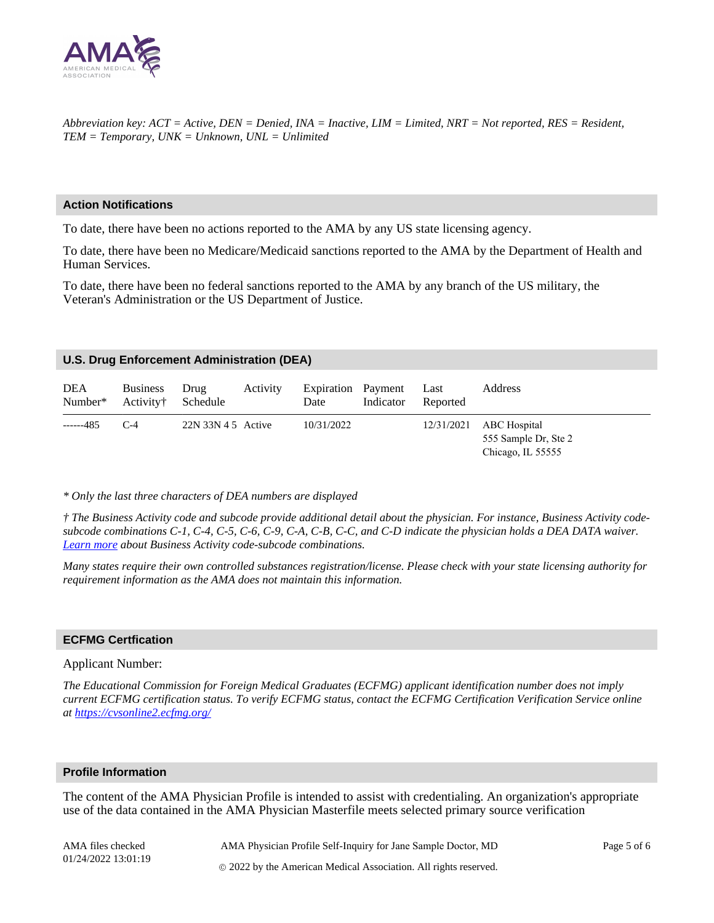

*Abbreviation key: ACT = Active, DEN = Denied, INA = Inactive, LIM = Limited, NRT = Not reported, RES = Resident, TEM = Temporary, UNK = Unknown, UNL = Unlimited*

#### **Action Notifications**

To date, there have been no actions reported to the AMA by any US state licensing agency.

To date, there have been no Medicare/Medicaid sanctions reported to the AMA by the Department of Health and Human Services.

To date, there have been no federal sanctions reported to the AMA by any branch of the US military, the Veteran's Administration or the US Department of Justice.

#### **U.S. Drug Enforcement Administration (DEA)**

| <b>DEA</b><br>Number* | <b>Business</b><br>Activity† | Drug<br>Schedule     | Activity | Expiration Payment Last<br>Date | Indicator | Reported   | Address                                                   |
|-----------------------|------------------------------|----------------------|----------|---------------------------------|-----------|------------|-----------------------------------------------------------|
| ------485             | $C-4$                        | $22N$ 33N 4 5 Active |          | 10/31/2022                      |           | 12/31/2021 | ABC Hospital<br>555 Sample Dr, Ste 2<br>Chicago, IL 55555 |

#### *\* Only the last three characters of DEA numbers are displayed*

*† The Business Activity code and subcode provide additional detail about the physician. For instance, Business Activity codesubcode combinations C-1, C-4, C-5, C-6, C-9, C-A, C-B, C-C, and C-D indicate the physician holds a DEA DATA waiver. [Learn more](https://amacredentialingservices.org/sites/default/files/2021-09/Link_in_Profile_DEA_Section.pdf) about Business Activity code-subcode combinations.*

*Many states require their own controlled substances registration/license. Please check with your state licensing authority for requirement information as the AMA does not maintain this information.*

#### **ECFMG Certfication**

#### Applicant Number:

*The Educational Commission for Foreign Medical Graduates (ECFMG) applicant identification number does not imply current ECFMG certification status. To verify ECFMG status, contact the ECFMG Certification Verification Service online at<https://cvsonline2.ecfmg.org/>*

#### **Profile Information**

The content of the AMA Physician Profile is intended to assist with credentialing. An organization's appropriate use of the data contained in the AMA Physician Masterfile meets selected primary source verification

AMA files checked 01/24/2022 13:01:19

AMA Physician Profile Self-Inquiry for Jane Sample Doctor, MD 2022 by the American Medical Association. All rights reserved.